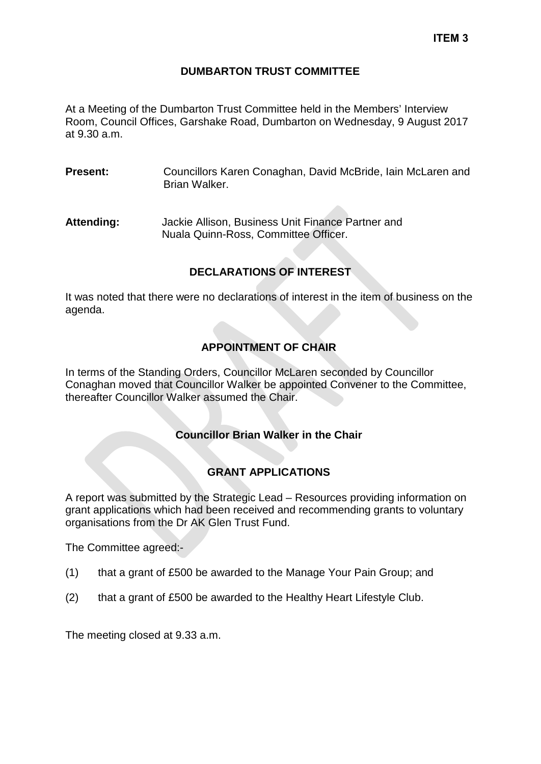# **Agenda**



# **Dumbarton Trust Committee**

| Date:         | Wednesday, 12 September 2018                                                                    |  |  |  |  |  |
|---------------|-------------------------------------------------------------------------------------------------|--|--|--|--|--|
| Time:         | 09:30                                                                                           |  |  |  |  |  |
| <b>Venue:</b> | Civic Space, Council Offices, 16 Church Street, Dumbarton                                       |  |  |  |  |  |
| Contact:      | Nuala Quinn-Ross, Committee Officer<br>Tel: 01389 737210 nuala.quinn-ross@west-dunbarton.gov.uk |  |  |  |  |  |

Dear Member

Please attend a meeting of the Dumbarton Trust Committee as detailed above. The business is shown on the attached agenda.

Yours faithfully

### **JOYCE WHITE**

Chief Executive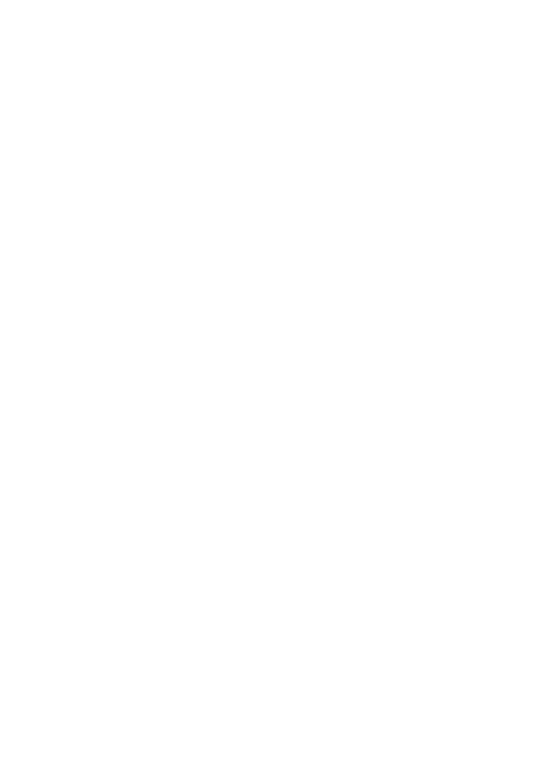Distribution (All Elected Members of Ward 3):-

Councillor Karen Conaghan Councillor David McBride Councillor Iain McLaren Councillor Brian Walker (Chair)

All other Councillors for information

Chief Executive Strategic Director – Transformation and Public Service Reform Strategic Director – Regeneration, Environment & Growth Chief Officer of West Dunbartonshire Health & Social Care Partnership

Date of issue: 30 August 2018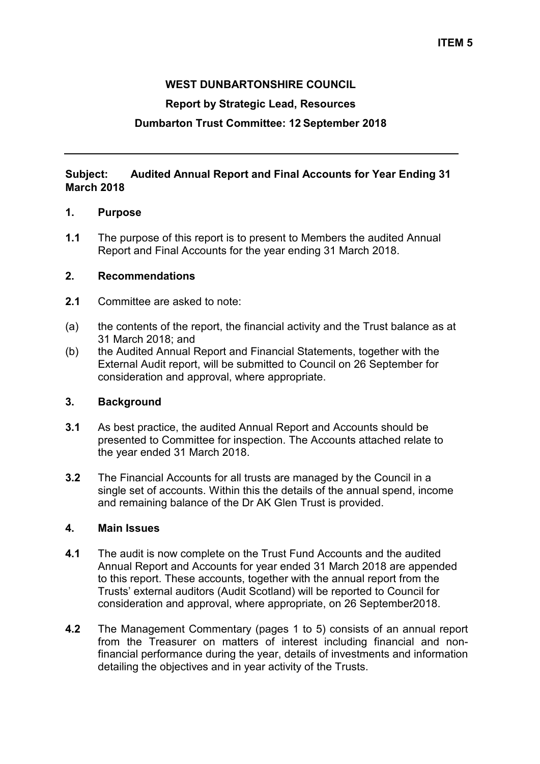### **DUMBARTON TRUST COMMITTEE**

### **WEDNESDAY, 12 SEPTEMBER 2018**

### **AGENDA**

### **1 APOLOGIES**

### **2 DECLARATIONS OF INTEREST**

Members are invited to declare if they have an interest in any of the items of business on this agenda and the reasons for such declarations.

### **3 MINUTES OF PREVIOUS MEETING 5**

Submit, for approval as a correct record the Minutes of Meeting of the Dumbarton Trust Committee held on 9 August 2017.

### **4 OPEN FORUM**

The Committee is asked to note that no open forum questions have been submitted by members of the public.

### **5 AUDITED ANNUAL REPORT AND FINAL ACCOUNTS 7 - 21 FOR YEAR ENDING 31 MARCH 2018**

Submit report by the Strategic Lead – Resources presenting the audited Annual Report and Final Accounts for the year ending 31 March 2018.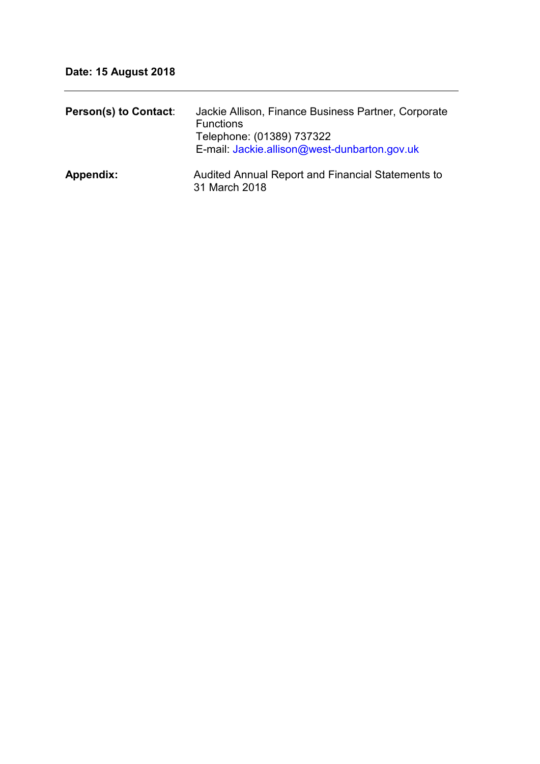### **DUMBARTON TRUST COMMITTEE**

At a Meeting of the Dumbarton Trust Committee held in the Members' Interview Room, Council Offices, Garshake Road, Dumbarton on Wednesday, 9 August 2017 at 9.30 a.m.

- **Present:** Councillors Karen Conaghan, David McBride, Iain McLaren and Brian Walker.
- **Attending:** Jackie Allison, Business Unit Finance Partner and Nuala Quinn-Ross, Committee Officer.

### **DECLARATIONS OF INTEREST**

It was noted that there were no declarations of interest in the item of business on the agenda.

### **APPOINTMENT OF CHAIR**

In terms of the Standing Orders, Councillor McLaren seconded by Councillor Conaghan moved that Councillor Walker be appointed Convener to the Committee, thereafter Councillor Walker assumed the Chair.

### **Councillor Brian Walker in the Chair**

### **GRANT APPLICATIONS**

A report was submitted by the Strategic Lead – Resources providing information on grant applications which had been received and recommending grants to voluntary organisations from the Dr AK Glen Trust Fund.

The Committee agreed:-

- (1) that a grant of £500 be awarded to the Manage Your Pain Group; and
- (2) that a grant of £500 be awarded to the Healthy Heart Lifestyle Club.

The meeting closed at 9.33 a.m.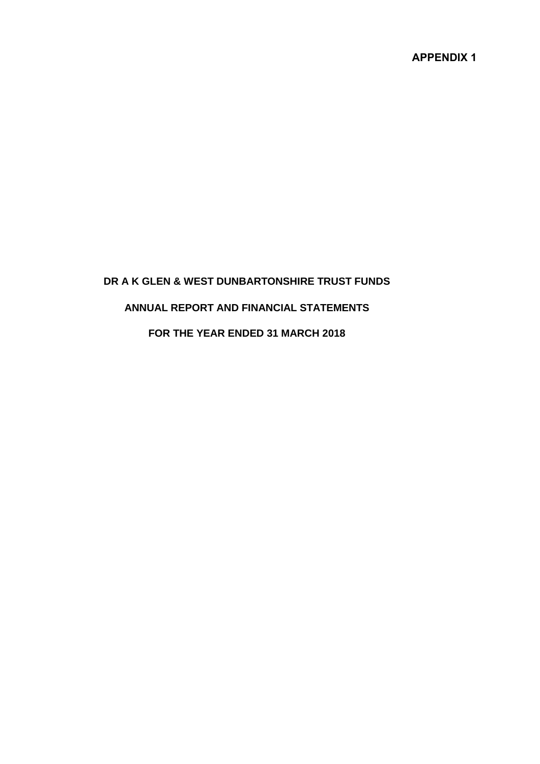### **WEST DUNBARTONSHIRE COUNCIL**

### **Report by Strategic Lead, Resources**

### **Dumbarton Trust Committee: 12 September 2018**

### **Subject: Audited Annual Report and Final Accounts for Year Ending 31 March 2018**

### **1. Purpose**

**1.1** The purpose of this report is to present to Members the audited Annual Report and Final Accounts for the year ending 31 March 2018.

### **2. Recommendations**

- **2.1** Committee are asked to note:
- (a) the contents of the report, the financial activity and the Trust balance as at 31 March 2018; and
- (b) the Audited Annual Report and Financial Statements, together with the External Audit report, will be submitted to Council on 26 September for consideration and approval, where appropriate.

### **3. Background**

- **3.1** As best practice, the audited Annual Report and Accounts should be presented to Committee for inspection. The Accounts attached relate to the year ended 31 March 2018.
- **3.2** The Financial Accounts for all trusts are managed by the Council in a single set of accounts. Within this the details of the annual spend, income and remaining balance of the Dr AK Glen Trust is provided.

### **4. Main Issues**

- **4.1** The audit is now complete on the Trust Fund Accounts and the audited Annual Report and Accounts for year ended 31 March 2018 are appended to this report. These accounts, together with the annual report from the Trusts' external auditors (Audit Scotland) will be reported to Council for consideration and approval, where appropriate, on 26 September2018.
- **4.2** The Management Commentary (pages 1 to 5) consists of an annual report from the Treasurer on matters of interest including financial and nonfinancial performance during the year, details of investments and information detailing the objectives and in year activity of the Trusts.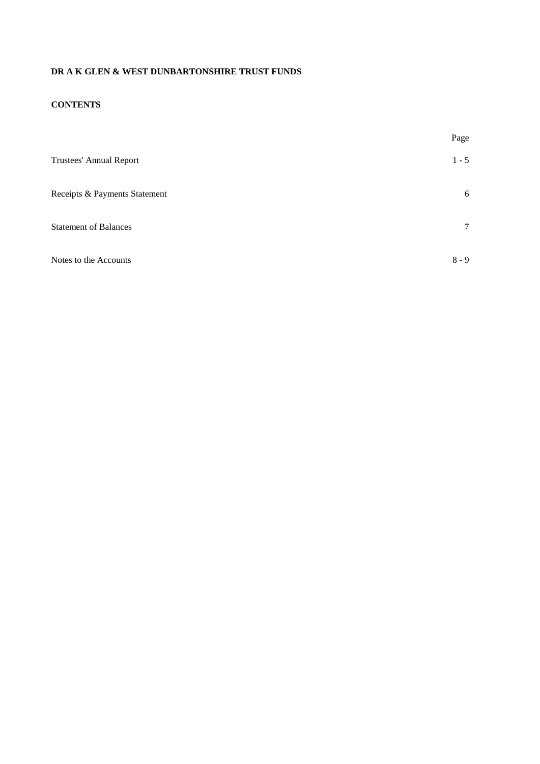- **4.3** The Annual Governance Statement is included on pages 4 of the Management Commentary. This Statement assures stakeholders on how the Trustees directs and controls its functions ensuring compliance with Charities Accounts (Scotland) Regulations 2006.
- **4.4** Members' attention is drawn to the Trustees responsibilities as noted in page 4.
- **4.5** The Management Commentary summarises the financial activity of the Trusts. During 2017/18 financial year one grant was awarded from the Dr AK Glen totalling £1,000. This left a closing balance of £25,191 as at 31 March 2018 which included interest paid during 2017/18 of £88.

### **5. Option Appraisal**

**5.1** No option appraisal consideration was required for this report.

### **6. People Implications**

**6.1** There are no people implications.

### . **7. Financial and Procurement Implications**

**7.1** The closing balance at 31<sup>st</sup> March for Dr AK Glen was £25,191.

### **8. Risk Analysis**

- **8.1** No risk analysis was required.
- **9. Equalities Impact Assessment (EIA)**
- **9.1** No issues were identified in a screening of applications.

### **10. Environmental Sustainability**

**10.1** No environmental sustainability issues require to be raised in connection with this report.

### **11. Consultation**

**11.1** All organisations are consulted regarding recommendations of grant prior to the report being submitted to Committee.

……………………………………… **Stephen West Strategic Lead, Resources**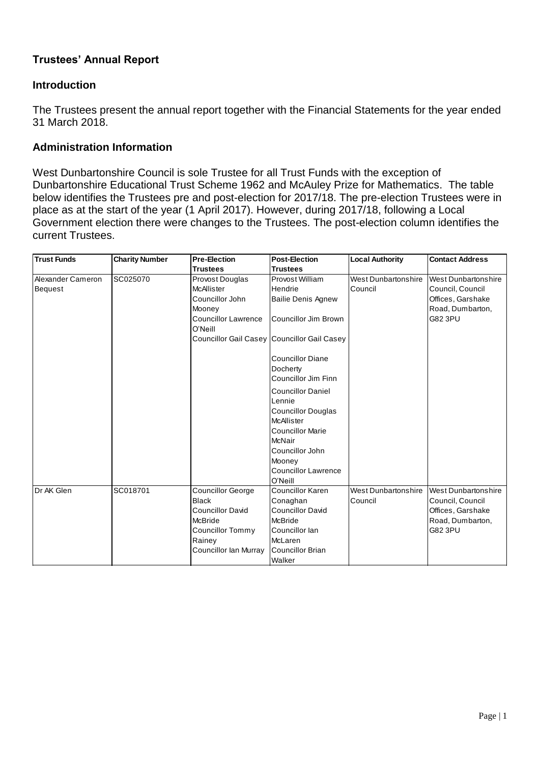| Person(s) to Contact: | Jackie Allison, Finance Business Partner, Corporate<br><b>Functions</b><br>Telephone: (01389) 737322<br>E-mail: Jackie.allison@west-dunbarton.gov.uk |  |
|-----------------------|------------------------------------------------------------------------------------------------------------------------------------------------------|--|
| <b>Appendix:</b>      | Audited Annual Report and Financial Statements to<br>31 March 2018                                                                                   |  |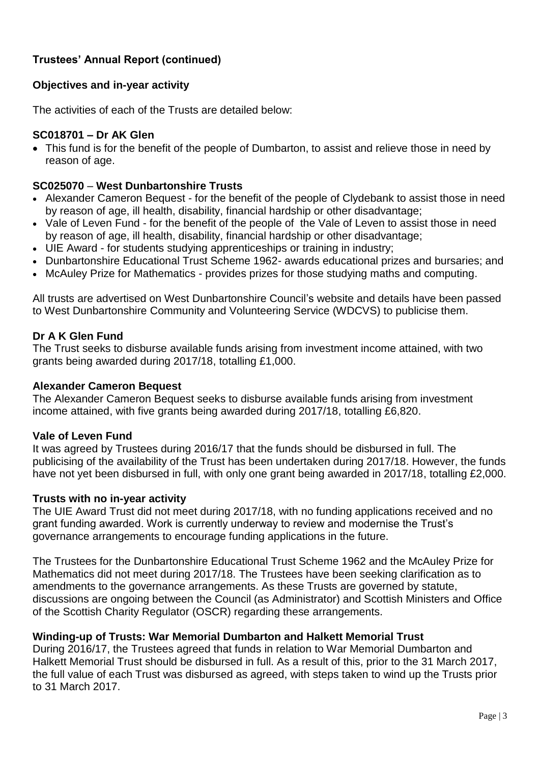## **DR A K GLEN & WEST DUNBARTONSHIRE TRUST FUNDS ANNUAL REPORT AND FINANCIAL STATEMENTS FOR THE YEAR ENDED 31 MARCH 2018**

Page 11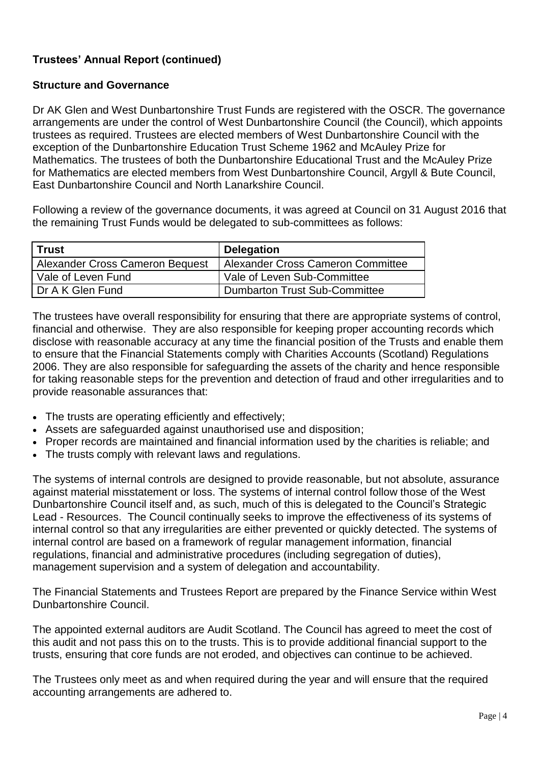### **DR A K GLEN & WEST DUNBARTONSHIRE TRUST FUNDS**

### **CONTENTS**

|                                | Page            |
|--------------------------------|-----------------|
| <b>Trustees' Annual Report</b> | $1 - 5$         |
| Receipts & Payments Statement  | 6               |
| <b>Statement of Balances</b>   | $7\phantom{.0}$ |
| Notes to the Accounts          | $8 - 9$         |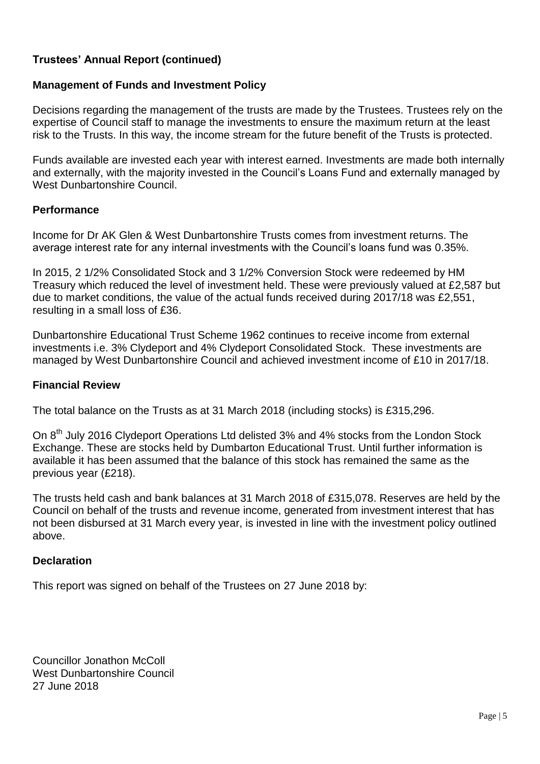### **Trustees' Annual Report**

### **Introduction**

The Trustees present the annual report together with the Financial Statements for the year ended 31 March 2018.

### **Administration Information**

West Dunbartonshire Council is sole Trustee for all Trust Funds with the exception of Dunbartonshire Educational Trust Scheme 1962 and McAuley Prize for Mathematics. The table below identifies the Trustees pre and post-election for 2017/18. The pre-election Trustees were in place as at the start of the year (1 April 2017). However, during 2017/18, following a Local Frust Funds<br>
Trust Funds<br>
Trust Funds<br>
Trust Funds<br>
Trust Funds<br>
Trust Funds<br>
Trustees<br>
Trustees<br>
Trustees<br>
Trustees<br>
Trustees<br>
Trustees<br>
Trustees<br>
Trustees<br>
Trustees<br>
Post-Election<br>
Trustees<br>
Pre-Election<br>
Trustees current Trustees.

| <b>Trust Funds</b> | <b>Charity Number</b> | <b>Pre-Election</b>                       | <b>Post-Election</b>                        | <b>Local Authority</b>     | <b>Contact Address</b>      |
|--------------------|-----------------------|-------------------------------------------|---------------------------------------------|----------------------------|-----------------------------|
|                    |                       | <b>Trustees</b>                           | <b>Trustees</b>                             |                            |                             |
| Alexander Cameron  | SC025070              | Provost Douglas                           | Provost William                             | <b>West Dunbartonshire</b> | <b>West Dunbartonshire</b>  |
| <b>Bequest</b>     |                       | McAllister                                | Hendrie                                     | Council                    | Council, Council            |
|                    |                       | Councillor John                           | <b>Bailie Denis Agnew</b>                   |                            | Offices, Garshake           |
|                    |                       | Mooney                                    |                                             |                            | Road, Dumbarton,            |
|                    |                       | <b>Councillor Lawrence</b><br>O'Neill     | Councillor Jim Brown                        |                            | G82 3PU                     |
|                    |                       |                                           | Councillor Gail Casey Councillor Gail Casey |                            |                             |
|                    |                       |                                           | <b>Councillor Diane</b>                     |                            |                             |
|                    |                       |                                           | Docherty                                    |                            |                             |
|                    |                       |                                           | Councillor Jim Finn                         |                            |                             |
|                    |                       |                                           | <b>Councillor Daniel</b>                    |                            |                             |
|                    |                       |                                           | Lennie                                      |                            |                             |
|                    |                       |                                           | <b>Councillor Douglas</b>                   |                            |                             |
|                    |                       |                                           | <b>McAllister</b>                           |                            |                             |
|                    |                       |                                           | <b>Councillor Marie</b>                     |                            |                             |
|                    |                       |                                           | McNair                                      |                            |                             |
|                    |                       |                                           | Councillor John                             |                            |                             |
|                    |                       |                                           | Mooney                                      |                            |                             |
|                    |                       |                                           | <b>Councillor Lawrence</b>                  |                            |                             |
|                    |                       |                                           | O'Neill                                     |                            |                             |
| Dr AK Glen         | SC018701              | <b>Councillor George</b>                  | <b>Councillor Karen</b>                     | <b>West Dunbartonshire</b> | West Dunbartonshire         |
|                    |                       | <b>Black</b>                              | Conaghan                                    | Council                    | Council, Council            |
|                    |                       | <b>Councillor David</b><br><b>McBride</b> | <b>Councillor David</b><br><b>McBride</b>   |                            | Offices, Garshake           |
|                    |                       | Councillor Tommy                          | Councillor lan                              |                            | Road, Dumbarton,<br>G82 3PU |
|                    |                       |                                           | McLaren                                     |                            |                             |
|                    |                       | Rainey<br>Councillor lan Murray           | <b>Councillor Brian</b>                     |                            |                             |
|                    |                       |                                           | Walker                                      |                            |                             |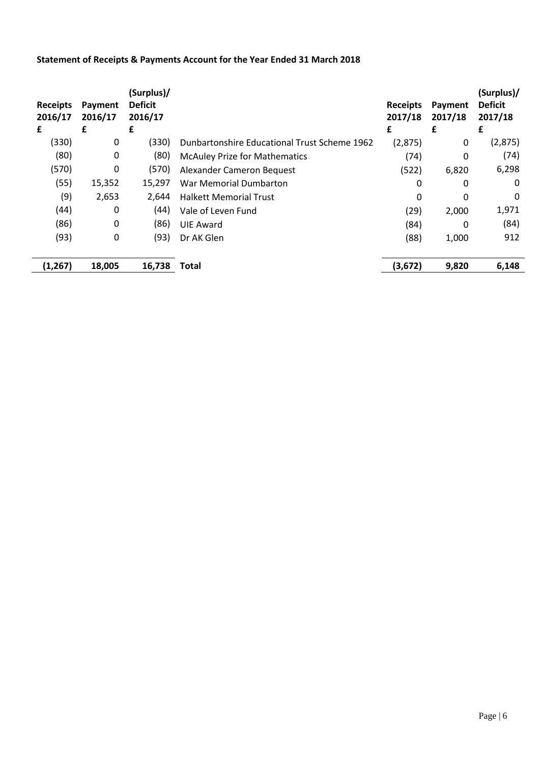#### **Trustees' Annual Report (continued)**<br> **Trust Funds** Charity Number Pre-Election<br>
Trustees **Trustees Post-Election Trustees Local Authority Contact Address** UIE Award SC025070 Councillor George Black Councillor Jim Brown Pre-Election<br>
Trustees<br>
Councillor George<br>
Councillor Gail Casey<br>
Councillor Ian<br>
Councillor Gail Casey<br>
Councillor Ian Dickson Councillor Jim Finn Councillor Diane **Docherty** Councillor David McBride Councillor Jim Finn Councillor Jonathan **McColl** Councillor Daniel Lennie Councillor Patrick **McGlinchey** Councillor Caroline **McAllister** Councillor John **Mooney**  Councillor David **McBride** Councillor Lawrence O'Neill Councillor Jonathon **McColl** Councillor Tommy **Rainev** Councillor Iain McLaren Councillor Gail Robertson Councillor John **Mooney** Councillor Martin Rooney Councillor Martin Rooney Councillor Kath Ryall Robertson<br>
Councillor Martin<br>
Rooney<br>
Vale of Leven Trust<br>
SC025070 Councillor Jonathan<br>
McColl<br>
McColl McColl Councillor Jonathon McColl Councillor Martin Rooney Councillor Martin Rooney Councillor Hazel Sorrell Councillor Sally Page Councillor James Bollan Councillor James Bollan Councillor Michelle **McGinty** Councillor Ian Dickson Councillor John Millar Councillor Caroline **McAllister** Councillor Gail **Robertson** Councillor John Millar **Dunbartonshire** Education Trust Scheme 1962 SC025070 Provost Douglas **McAllister** Councillor Karen Conaghan West Dunbartonshire Council McAuley Prize for **Mathematics** SC025070 Councillor John Mooney Councillor John Mooney West Dunbartonshire Council Councillor Michelle **McGinty** West Dunbartonshire Council Councillor David Kinniburgh Councillor Graham Archibald Hardie Argyll & Bute Council Councillor Maureen **Henry** Councillor John Jamieson East Dunbartonshire Council Councillor Eric Gotts **East Dunbartonshire** Council Councillor John Jamieson East Dunbartonshire Council Councillor Barry **McCulloch** Councillor Gillian Fannan North Lanarkshire Council Councillor Jean Jones Councillor Thomas **Johnston** North Lanarkshire Council West Dunbartonshire Council West Dunbartonshire Council, Council Offices, Garshake Road, Dumbarton, G82 3PU West Dunbartonshire Council, Council Offices, Garshake Road, Dumbarton, G82 3PU West Dunbartonshire Council, Council Offices, Garshake Road, Dumbarton, G82 3PU West Dunbartonshire Council

### **Trustees' Annual Report (continued)**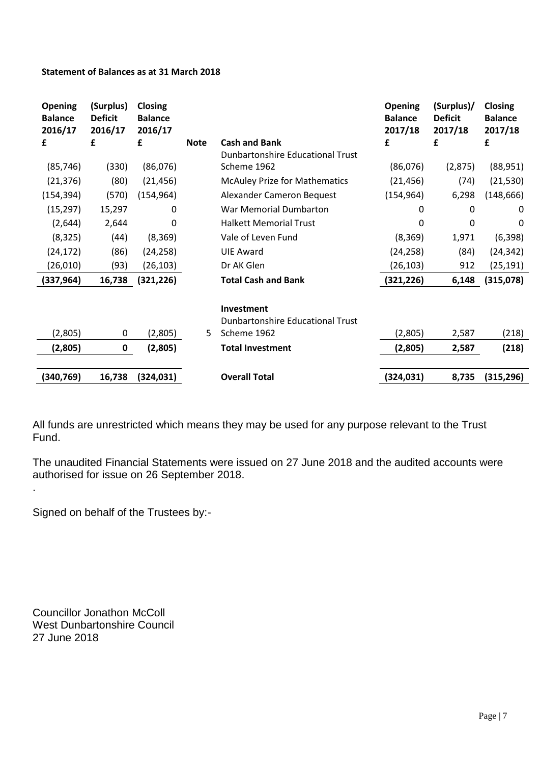### **Trustees' Annual Report (continued)**

### **Objectives and in-year activity**

The activities of each of the Trusts are detailed below:

### **SC018701 – Dr AK Glen**

• This fund is for the benefit of the people of Dumbarton, to assist and relieve those in need by reason of age.

### **SC025070** – **West Dunbartonshire Trusts**

- Alexander Cameron Bequest for the benefit of the people of Clydebank to assist those in need by reason of age, ill health, disability, financial hardship or other disadvantage;
- Vale of Leven Fund for the benefit of the people of the Vale of Leven to assist those in need by reason of age, ill health, disability, financial hardship or other disadvantage;
- UIE Award for students studying apprenticeships or training in industry;
- Dunbartonshire Educational Trust Scheme 1962- awards educational prizes and bursaries; and
- McAuley Prize for Mathematics provides prizes for those studying maths and computing.

All trusts are advertised on West Dunbartonshire Council's website and details have been passed to West Dunbartonshire Community and Volunteering Service (WDCVS) to publicise them.

### **Dr A K Glen Fund**

The Trust seeks to disburse available funds arising from investment income attained, with two grants being awarded during 2017/18, totalling £1,000.

### **Alexander Cameron Bequest**

The Alexander Cameron Bequest seeks to disburse available funds arising from investment income attained, with five grants being awarded during 2017/18, totalling £6,820.

### **Vale of Leven Fund**

It was agreed by Trustees during 2016/17 that the funds should be disbursed in full. The publicising of the availability of the Trust has been undertaken during 2017/18. However, the funds have not yet been disbursed in full, with only one grant being awarded in 2017/18, totalling £2,000.

### **Trusts with no in-year activity**

The UIE Award Trust did not meet during 2017/18, with no funding applications received and no grant funding awarded. Work is currently underway to review and modernise the Trust's governance arrangements to encourage funding applications in the future.

The Trustees for the Dunbartonshire Educational Trust Scheme 1962 and the McAuley Prize for Mathematics did not meet during 2017/18. The Trustees have been seeking clarification as to amendments to the governance arrangements. As these Trusts are governed by statute, discussions are ongoing between the Council (as Administrator) and Scottish Ministers and Office of the Scottish Charity Regulator (OSCR) regarding these arrangements.

### **Winding-up of Trusts: War Memorial Dumbarton and Halkett Memorial Trust**

During 2016/17, the Trustees agreed that funds in relation to War Memorial Dumbarton and Halkett Memorial Trust should be disbursed in full. As a result of this, prior to the 31 March 2017, the full value of each Trust was disbursed as agreed, with steps taken to wind up the Trusts prior to 31 March 2017.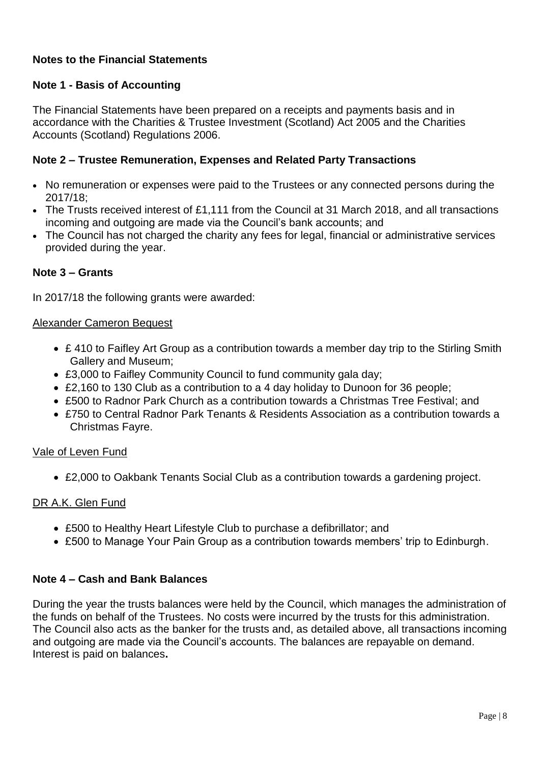### **Trustees' Annual Report (continued)**

### **Structure and Governance**

Dr AK Glen and West Dunbartonshire Trust Funds are registered with the OSCR. The governance arrangements are under the control of West Dunbartonshire Council (the Council), which appoints trustees as required. Trustees are elected members of West Dunbartonshire Council with the exception of the Dunbartonshire Education Trust Scheme 1962 and McAuley Prize for Mathematics. The trustees of both the Dunbartonshire Educational Trust and the McAuley Prize for Mathematics are elected members from West Dunbartonshire Council, Argyll & Bute Council, East Dunbartonshire Council and North Lanarkshire Council.

Following a review of the governance documents, it was agreed at Council on 31 August 2016 that the remaining Trust Funds would be delegated to sub-committees as follows:

| <b>Trust</b>                    | Delegation                        |
|---------------------------------|-----------------------------------|
| Alexander Cross Cameron Bequest | Alexander Cross Cameron Committee |
| Vale of Leven Fund              | Vale of Leven Sub-Committee       |
| Dr A K Glen Fund                | Dumbarton Trust Sub-Committee     |

The trustees have overall responsibility for ensuring that there are appropriate systems of control, financial and otherwise. They are also responsible for keeping proper accounting records which disclose with reasonable accuracy at any time the financial position of the Trusts and enable them to ensure that the Financial Statements comply with Charities Accounts (Scotland) Regulations 2006. They are also responsible for safeguarding the assets of the charity and hence responsible for taking reasonable steps for the prevention and detection of fraud and other irregularities and to provide reasonable assurances that:

- The trusts are operating efficiently and effectively;
- Assets are safeguarded against unauthorised use and disposition;
- Proper records are maintained and financial information used by the charities is reliable; and
- The trusts comply with relevant laws and regulations.

The systems of internal controls are designed to provide reasonable, but not absolute, assurance against material misstatement or loss. The systems of internal control follow those of the West Dunbartonshire Council itself and, as such, much of this is delegated to the Council's Strategic Lead - Resources. The Council continually seeks to improve the effectiveness of its systems of internal control so that any irregularities are either prevented or quickly detected. The systems of internal control are based on a framework of regular management information, financial regulations, financial and administrative procedures (including segregation of duties), management supervision and a system of delegation and accountability.

The Financial Statements and Trustees Report are prepared by the Finance Service within West Dunbartonshire Council.

The appointed external auditors are Audit Scotland. The Council has agreed to meet the cost of this audit and not pass this on to the trusts. This is to provide additional financial support to the trusts, ensuring that core funds are not eroded, and objectives can continue to be achieved.

The Trustees only meet as and when required during the year and will ensure that the required accounting arrangements are adhered to.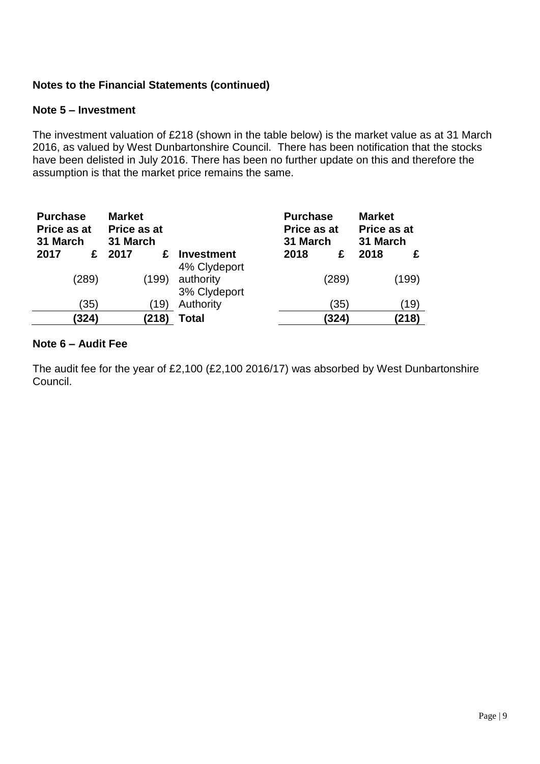### **Trustees' Annual Report (continued)**

### **Management of Funds and Investment Policy**

Decisions regarding the management of the trusts are made by the Trustees. Trustees rely on the expertise of Council staff to manage the investments to ensure the maximum return at the least risk to the Trusts. In this way, the income stream for the future benefit of the Trusts is protected.

Funds available are invested each year with interest earned. Investments are made both internally and externally, with the majority invested in the Council's Loans Fund and externally managed by West Dunbartonshire Council.

### **Performance**

Income for Dr AK Glen & West Dunbartonshire Trusts comes from investment returns. The average interest rate for any internal investments with the Council's loans fund was 0.35%.

In 2015, 2 1/2% Consolidated Stock and 3 1/2% Conversion Stock were redeemed by HM Treasury which reduced the level of investment held. These were previously valued at £2,587 but due to market conditions, the value of the actual funds received during 2017/18 was £2,551, resulting in a small loss of £36.

Dunbartonshire Educational Trust Scheme 1962 continues to receive income from external investments i.e. 3% Clydeport and 4% Clydeport Consolidated Stock. These investments are managed by West Dunbartonshire Council and achieved investment income of £10 in 2017/18.

### **Financial Review**

The total balance on the Trusts as at 31 March 2018 (including stocks) is £315,296.

On 8<sup>th</sup> July 2016 Clydeport Operations Ltd delisted 3% and 4% stocks from the London Stock Exchange. These are stocks held by Dumbarton Educational Trust. Until further information is available it has been assumed that the balance of this stock has remained the same as the previous year (£218).

The trusts held cash and bank balances at 31 March 2018 of £315,078. Reserves are held by the Council on behalf of the trusts and revenue income, generated from investment interest that has not been disbursed at 31 March every year, is invested in line with the investment policy outlined above.

### **Declaration**

This report was signed on behalf of the Trustees on 27 June 2018 by:

Councillor Jonathon McColl West Dunbartonshire Council 27 June 2018